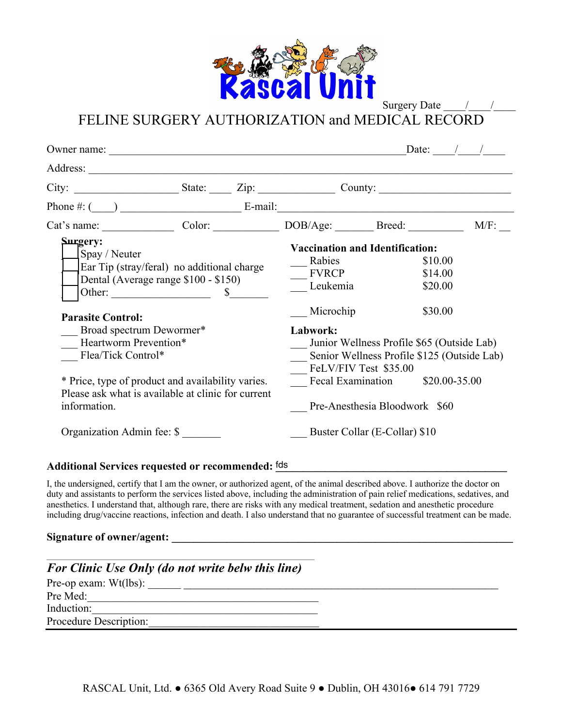

Surgery Date

FELINE SURGERY AUTHORIZATION and MEDICAL RECORD

| Owner name:                                                                                                                 |  |                                                                                                                                                        |                                                                         | Date: $/$ / |
|-----------------------------------------------------------------------------------------------------------------------------|--|--------------------------------------------------------------------------------------------------------------------------------------------------------|-------------------------------------------------------------------------|-------------|
|                                                                                                                             |  |                                                                                                                                                        |                                                                         |             |
| City: $\begin{array}{c c} \text{City:} & \text{State:} & \text{Zip:} & \text{Country:} \end{array}$                         |  |                                                                                                                                                        |                                                                         |             |
|                                                                                                                             |  |                                                                                                                                                        |                                                                         |             |
| Cat's name: Color: DOB/Age: Breed:                                                                                          |  |                                                                                                                                                        |                                                                         | $M/F$ :     |
| Surgery:<br>Spay / Neuter<br>Ear Tip (stray/feral) no additional charge<br>Dental (Average range \$100 - \$150)<br>Other: S |  | Rabies<br><b>FVRCP</b><br>Leukemia                                                                                                                     | <b>Vaccination and Identification:</b><br>\$10.00<br>\$14.00<br>\$20.00 |             |
| <b>Parasite Control:</b><br>Broad spectrum Dewormer*<br>Heartworm Prevention*<br>Flea/Tick Control*                         |  | Microchip<br>\$30.00<br>Labwork:<br>Junior Wellness Profile \$65 (Outside Lab)<br>Senior Wellness Profile \$125 (Outside Lab)<br>FeLV/FIV Test \$35.00 |                                                                         |             |
| * Price, type of product and availability varies.<br>Please ask what is available at clinic for current<br>information.     |  |                                                                                                                                                        | Fecal Examination \$20.00-35.00<br>Pre-Anesthesia Bloodwork \$60        |             |
| Organization Admin fee: \$                                                                                                  |  | Buster Collar (E-Collar) \$10                                                                                                                          |                                                                         |             |

## Additional Services requested or recommended: <sup>fds</sup> Additional Services requested or recommended: <sup>fds</sup> Additional Services requested or recommended: <sup>fds</sup> Additional Services requested or recommended: <sup>fds</sup> Additional Ser

I, the undersigned, certify that I am the owner, or authorized agent, of the animal described above. I authorize the doctor on duty and assistants to perform the services listed above, including the administration of pain relief medications, sedatives, and anesthetics. I understand that, although rare, there are risks with any medical treatment, sedation and anesthetic procedure including drug/vaccine reactions, infection and death. I also understand that no guarantee of successful treatment can be made.

## Signature of owner/agent:

| <b>For Clinic Use Only (do not write belw this line)</b> |  |
|----------------------------------------------------------|--|
| Pre-op exam: $Wt(lbs)$ :                                 |  |
| Pre Med:                                                 |  |
| Induction:                                               |  |
| Procedure Description:                                   |  |